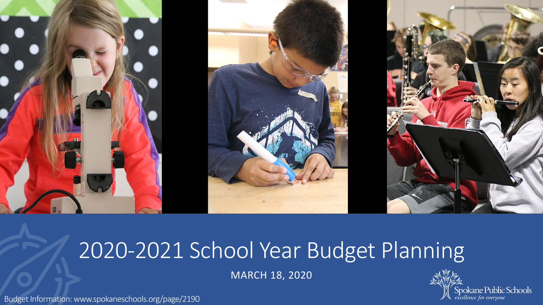

# 2020-2021 School Year Budget Planning

MARCH 18, 2020

Budget Information: www.spokaneschools.org/page/2190

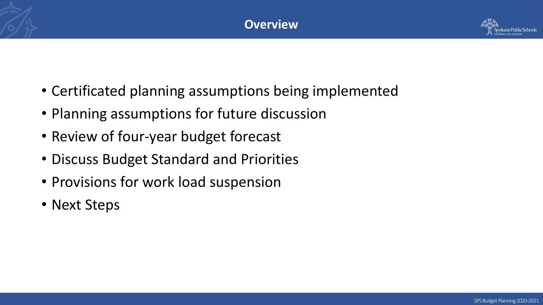

- Certificated planning assumptions being implemented
- Planning assumptions for future discussion
- Review of four-year budget forecast
- Discuss Budget Standard and Priorities
- Provisions for work load suspension
- Next Steps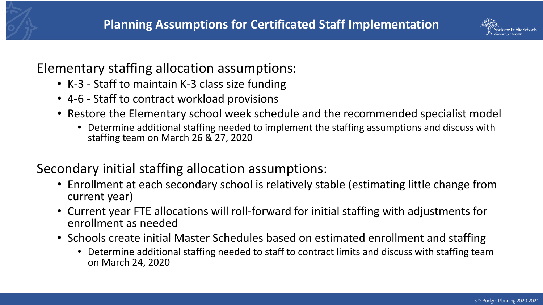

### Elementary staffing allocation assumptions:

- K-3 Staff to maintain K-3 class size funding
- 4-6 Staff to contract workload provisions
- Restore the Elementary school week schedule and the recommended specialist model
	- Determine additional staffing needed to implement the staffing assumptions and discuss with staffing team on March 26 & 27, 2020

## Secondary initial staffing allocation assumptions:

- Enrollment at each secondary school is relatively stable (estimating little change from current year)
- Current year FTE allocations will roll-forward for initial staffing with adjustments for enrollment as needed
- Schools create initial Master Schedules based on estimated enrollment and staffing
	- Determine additional staffing needed to staff to contract limits and discuss with staffing team on March 24, 2020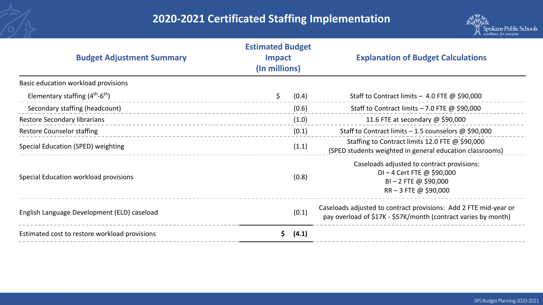#### **2020-2021 Certificated Staffing Implementation**



| <b>Estimated Budget</b><br><b>Budget Adjustment Summary</b><br><b>Impact</b><br>(In millions) |    |       | <b>Explanation of Budget Calculations</b>                                                                                          |
|-----------------------------------------------------------------------------------------------|----|-------|------------------------------------------------------------------------------------------------------------------------------------|
| Basic education workload provisions                                                           |    |       |                                                                                                                                    |
| Elementary staffing $(4^{th}-6^{th})$                                                         | \$ | (0.4) | Staff to Contract limits - 4.0 FTE $\omega$ \$90,000                                                                               |
| Secondary staffing (headcount)                                                                |    | (0.6) | Staff to Contract limits $-7.0$ FTE @ \$90,000                                                                                     |
| <b>Restore Secondary librarians</b>                                                           |    | (1.0) | 11.6 FTE at secondary @ \$90,000                                                                                                   |
| <b>Restore Counselor staffing</b>                                                             |    | (0.1) | Staff to Contract limits $-1.5$ counselors @ \$90,000                                                                              |
| Special Education (SPED) weighting                                                            |    | (1.1) | Staffing to Contract limits 12.0 FTE @ \$90,000<br>(SPED students weighted in general education classrooms)                        |
| Special Education workload provisions                                                         |    | (0.8) | Caseloads adjusted to contract provisions:<br>$DI - 4$ Cert FTE @ \$90,000<br>$BI - 2$ FTE @ \$90,000<br>$RR - 3$ FTE @ \$90,000   |
| English Language Development (ELD) caseload                                                   |    | (0.1) | Caseloads adjusted to contract provisions: Add 2 FTE mid-year or<br>pay overload of \$17K - \$57K/month (contract varies by month) |
| Estimated cost to restore workload provisions                                                 | S. | (4.1) |                                                                                                                                    |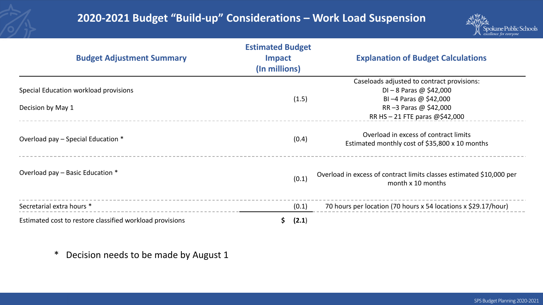#### **2020-2021 Budget "Build-up" Considerations – Work Load Suspension**



| <b>Budget Adjustment Summary</b>                           | <b>Estimated Budget</b><br><b>Impact</b><br>(In millions) | <b>Explanation of Budget Calculations</b>                                                                                  |  |
|------------------------------------------------------------|-----------------------------------------------------------|----------------------------------------------------------------------------------------------------------------------------|--|
| Special Education workload provisions<br>Decision by May 1 | (1.5)                                                     | Caseloads adjusted to contract provisions:<br>$DI - 8$ Paras @ \$42,000<br>BI-4 Paras @ \$42,000<br>RR-3 Paras @ \$42,000  |  |
| Overload pay – Special Education *                         | (0.4)                                                     | RR HS $-21$ FTE paras @\$42,000<br>Overload in excess of contract limits<br>Estimated monthly cost of \$35,800 x 10 months |  |
| Overload pay - Basic Education *                           | (0.1)                                                     | Overload in excess of contract limits classes estimated \$10,000 per<br>month x 10 months                                  |  |
| Secretarial extra hours *                                  | (0.1)                                                     | 70 hours per location (70 hours x 54 locations x \$29.17/hour)                                                             |  |
| Estimated cost to restore classified workload provisions   | (2.1)<br>\$.                                              |                                                                                                                            |  |

\* Decision needs to be made by August 1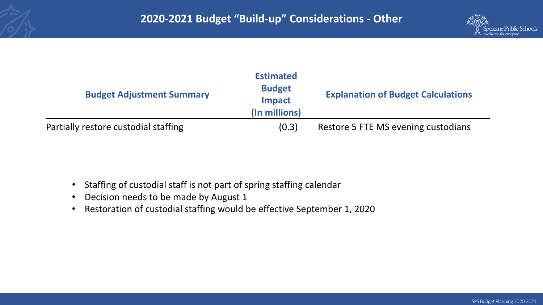

| <b>Budget Adjustment Summary</b>     | <b>Estimated</b><br><b>Budget</b><br><b>Impact</b><br>(In millions) | <b>Explanation of Budget Calculations</b> |
|--------------------------------------|---------------------------------------------------------------------|-------------------------------------------|
| Partially restore custodial staffing | (0.3)                                                               | Restore 5 FTE MS evening custodians       |

- Staffing of custodial staff is not part of spring staffing calendar
- Decision needs to be made by August 1
- Restoration of custodial staffing would be effective September 1, 2020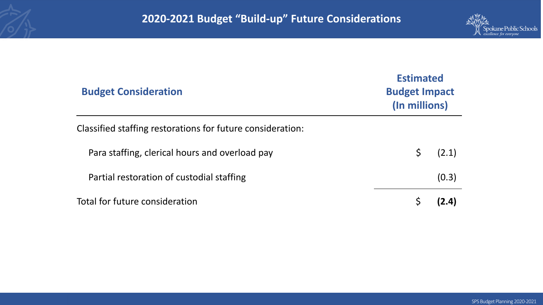

| <b>Budget Consideration</b>                                |   | <b>Estimated</b><br><b>Budget Impact</b><br>(In millions) |  |  |
|------------------------------------------------------------|---|-----------------------------------------------------------|--|--|
| Classified staffing restorations for future consideration: |   |                                                           |  |  |
| Para staffing, clerical hours and overload pay             | Ś | (2.1)                                                     |  |  |
| Partial restoration of custodial staffing                  |   | (0.3)                                                     |  |  |
| Total for future consideration                             |   | (2.4)                                                     |  |  |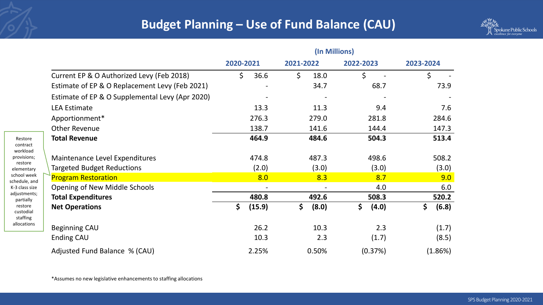

|                                                 | (In Millions) |                 |             |             |
|-------------------------------------------------|---------------|-----------------|-------------|-------------|
|                                                 | 2020-2021     | 2021-2022       | 2022-2023   | 2023-2024   |
| Current EP & O Authorized Levy (Feb 2018)       | \$<br>36.6    | $\zeta$<br>18.0 | \$          | \$          |
| Estimate of EP & O Replacement Levy (Feb 2021)  |               | 34.7            | 68.7        | 73.9        |
| Estimate of EP & O Supplemental Levy (Apr 2020) |               |                 |             |             |
| <b>LEA Estimate</b>                             | 13.3          | 11.3            | 9.4         | 7.6         |
| Apportionment*                                  | 276.3         | 279.0           | 281.8       | 284.6       |
| <b>Other Revenue</b>                            | 138.7         | 141.6           | 144.4       | 147.3       |
| <b>Total Revenue</b>                            | 464.9         | 484.6           | 504.3       | 513.4       |
| Maintenance Level Expenditures                  | 474.8         | 487.3           | 498.6       | 508.2       |
| <b>Targeted Budget Reductions</b>               | (2.0)         | (3.0)           | (3.0)       | (3.0)       |
| <b>Program Restoration</b>                      | 8.0           | 8.3             | 8.7         | 9.0         |
| Opening of New Middle Schools                   |               |                 | 4.0         | 6.0         |
| <b>Total Expenditures</b>                       | 480.8         | 492.6           | 508.3       | 520.2       |
| <b>Net Operations</b>                           | \$<br>(15.9)  | \$<br>(8.0)     | \$<br>(4.0) | \$<br>(6.8) |
| <b>Beginning CAU</b>                            | 26.2          | 10.3            | 2.3         | (1.7)       |
| Ending CAU                                      | 10.3          | 2.3             | (1.7)       | (8.5)       |
| Adjusted Fund Balance % (CAU)                   | 2.25%         | 0.50%           | (0.37%)     | (1.86%)     |

\*Assumes no new legislative enhancements to staffing allocations

Restore contract workload provisions; restore elementary school week schedule, and K-3 class size adjustments; partially restore custodial staffing allocations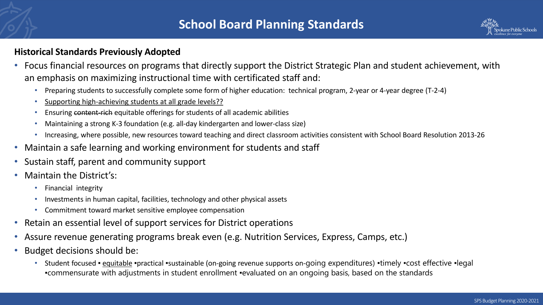#### **Historical Standards Previously Adopted**

- Focus financial resources on programs that directly support the District Strategic Plan and student achievement, with an emphasis on maximizing instructional time with certificated staff and:
	- Preparing students to successfully complete some form of higher education: technical program, 2-year or 4-year degree (T-2-4)
	- Supporting high-achieving students at all grade levels??
	- Ensuring content-rich equitable offerings for students of all academic abilities
	- Maintaining a strong K-3 foundation (e.g. all-day kindergarten and lower-class size)
	- Increasing, where possible, new resources toward teaching and direct classroom activities consistent with School Board Resolution 2013-26
- Maintain a safe learning and working environment for students and staff
- Sustain staff, parent and community support
- Maintain the District's:
	- Financial integrity
	- Investments in human capital, facilities, technology and other physical assets
	- Commitment toward market sensitive employee compensation
- Retain an essential level of support services for District operations
- Assure revenue generating programs break even (e.g. Nutrition Services, Express, Camps, etc.)
- Budget decisions should be:
	- Student focused equitable •practical •sustainable (on-going revenue supports on-going expenditures) •timely •cost effective •legal ▪commensurate with adjustments in student enrollment ▪evaluated on an ongoing basis, based on the standards

ane Public Schoo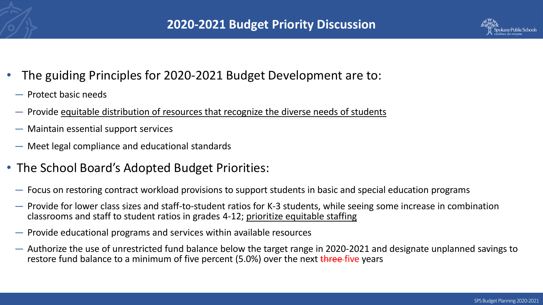

- The guiding Principles for 2020-2021 Budget Development are to:
- ― Protect basic needs
- ― Provide equitable distribution of resources that recognize the diverse needs of students
- ― Maintain essential support services
- ― Meet legal compliance and educational standards
- The School Board's Adopted Budget Priorities:
	- ― Focus on restoring contract workload provisions to support students in basic and special education programs
	- ― Provide for lower class sizes and staff-to-student ratios for K-3 students, while seeing some increase in combination classrooms and staff to student ratios in grades 4-12; prioritize equitable staffing
	- ― Provide educational programs and services within available resources
	- ― Authorize the use of unrestricted fund balance below the target range in 2020-2021 and designate unplanned savings to restore fund balance to a minimum of five percent (5.0%) over the next three-five years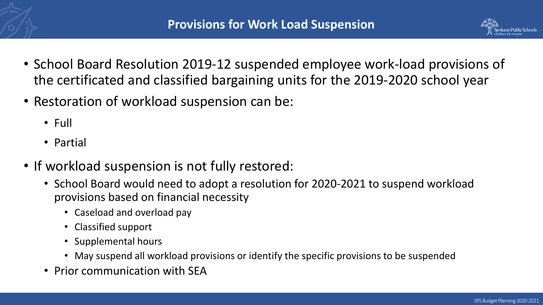

- School Board Resolution 2019-12 suspended employee work-load provisions of the certificated and classified bargaining units for the 2019-2020 school year
- Restoration of workload suspension can be:
	- Full
	- Partial
- If workload suspension is not fully restored:
	- School Board would need to adopt a resolution for 2020-2021 to suspend workload provisions based on financial necessity
		- Caseload and overload pay
		- Classified support
		- Supplemental hours
		- May suspend all workload provisions or identify the specific provisions to be suspended
	- Prior communication with SEA